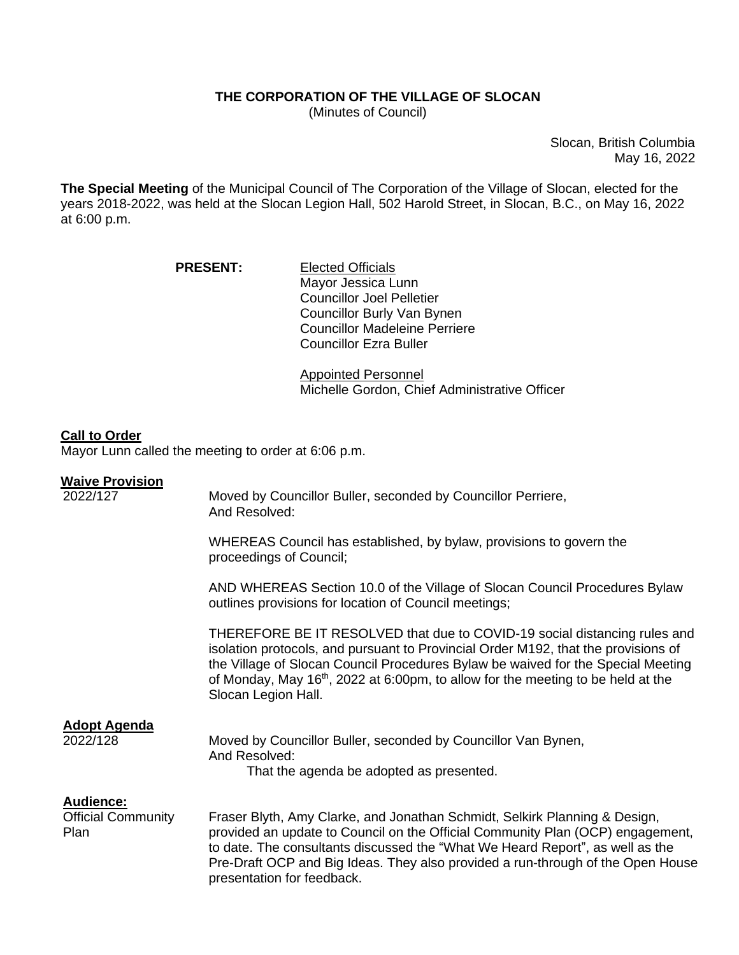## **THE CORPORATION OF THE VILLAGE OF SLOCAN**

(Minutes of Council)

Slocan, British Columbia May 16, 2022

**The Special Meeting** of the Municipal Council of The Corporation of the Village of Slocan, elected for the years 2018-2022, was held at the Slocan Legion Hall, 502 Harold Street, in Slocan, B.C., on May 16, 2022 at 6:00 p.m.

| <b>PRESENT:</b> | <b>Elected Officials</b>             |
|-----------------|--------------------------------------|
|                 | Mayor Jessica Lunn                   |
|                 | <b>Councillor Joel Pelletier</b>     |
|                 | Councillor Burly Van Bynen           |
|                 | <b>Councillor Madeleine Perriere</b> |
|                 | <b>Councillor Ezra Buller</b>        |

Appointed Personnel Michelle Gordon, Chief Administrative Officer

## **Call to Order**

Mayor Lunn called the meeting to order at 6:06 p.m.

## **Waive Provision**

| 2022/127                                       | Moved by Councillor Buller, seconded by Councillor Perriere,<br>And Resolved:                                                                                                                                                                                                                                                                                    |
|------------------------------------------------|------------------------------------------------------------------------------------------------------------------------------------------------------------------------------------------------------------------------------------------------------------------------------------------------------------------------------------------------------------------|
|                                                | WHEREAS Council has established, by bylaw, provisions to govern the<br>proceedings of Council;                                                                                                                                                                                                                                                                   |
|                                                | AND WHEREAS Section 10.0 of the Village of Slocan Council Procedures Bylaw<br>outlines provisions for location of Council meetings;                                                                                                                                                                                                                              |
|                                                | THEREFORE BE IT RESOLVED that due to COVID-19 social distancing rules and<br>isolation protocols, and pursuant to Provincial Order M192, that the provisions of<br>the Village of Slocan Council Procedures Bylaw be waived for the Special Meeting<br>of Monday, May $16th$ , 2022 at 6:00pm, to allow for the meeting to be held at the<br>Slocan Legion Hall. |
| <b>Adopt Agenda</b><br>2022/128                | Moved by Councillor Buller, seconded by Councillor Van Bynen,<br>And Resolved:<br>That the agenda be adopted as presented.                                                                                                                                                                                                                                       |
| Audience:<br><b>Official Community</b><br>Plan | Fraser Blyth, Amy Clarke, and Jonathan Schmidt, Selkirk Planning & Design,<br>provided an update to Council on the Official Community Plan (OCP) engagement,<br>to date. The consultants discussed the "What We Heard Report", as well as the<br>Pre-Draft OCP and Big Ideas. They also provided a run-through of the Open House<br>presentation for feedback.   |